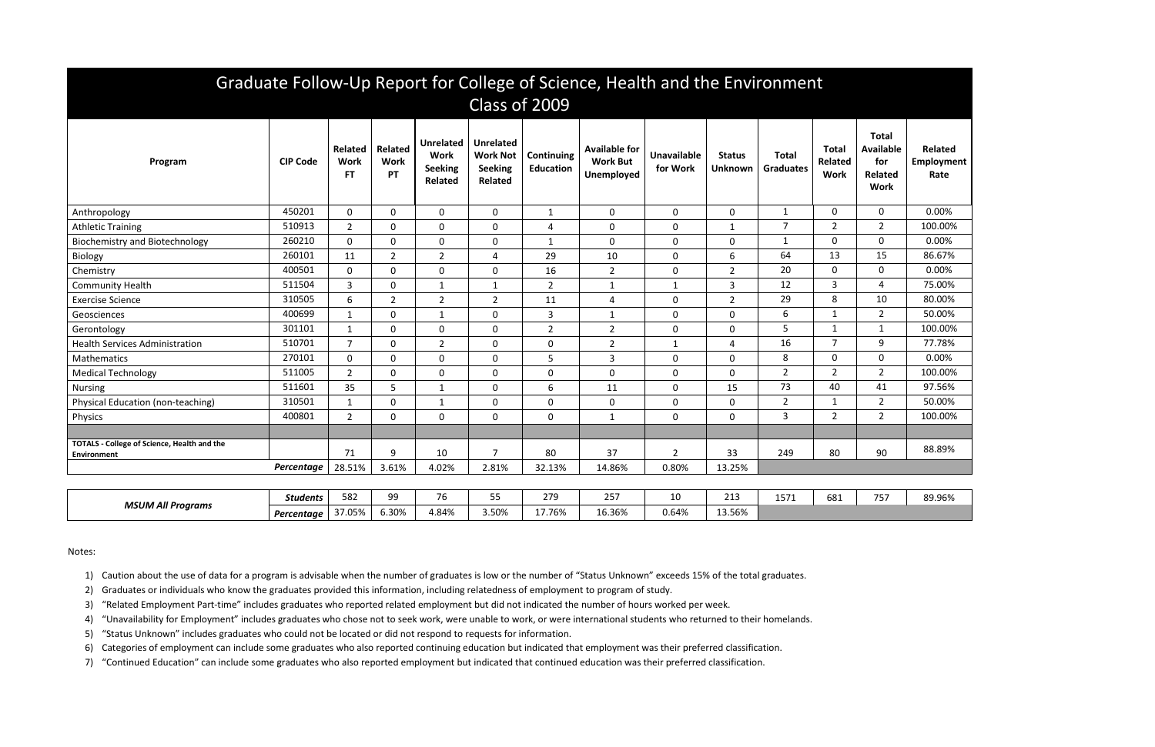| Graduate Follow-Up Report for College of Science, Health and the Environment<br>Class of 2009 |                 |                                            |                              |                                                                     |                                                                         |                                |                                                              |                                |                          |                           |                                        |                                                                   |                               |
|-----------------------------------------------------------------------------------------------|-----------------|--------------------------------------------|------------------------------|---------------------------------------------------------------------|-------------------------------------------------------------------------|--------------------------------|--------------------------------------------------------------|--------------------------------|--------------------------|---------------------------|----------------------------------------|-------------------------------------------------------------------|-------------------------------|
| Program                                                                                       | <b>CIP Code</b> | <b>Related</b><br><b>Work</b><br><b>FT</b> | Related<br><b>Work</b><br>PT | <b>Unrelated</b><br><b>Work</b><br><b>Seeking</b><br><b>Related</b> | <b>Unrelated</b><br><b>Work Not</b><br><b>Seeking</b><br><b>Related</b> | Continuing<br><b>Education</b> | <b>Available for</b><br><b>Work But</b><br><b>Unemployed</b> | <b>Unavailable</b><br>for Work | <b>Status</b><br>Unknown | Total<br><b>Graduates</b> | Total<br><b>Related</b><br><b>Work</b> | <b>Total</b><br><b>Available</b><br>for<br>Related<br><b>Work</b> | Related<br>Employment<br>Rate |
| Anthropology                                                                                  | 450201          | $\mathbf{0}$                               | $\mathbf 0$                  | $\mathbf 0$                                                         | $\mathbf 0$                                                             | $\mathbf{1}$                   | $\mathbf 0$                                                  | $\mathbf 0$                    | 0                        | $\mathbf{1}$              | $\mathbf 0$                            | $\mathbf 0$                                                       | 0.00%                         |
| <b>Athletic Training</b>                                                                      | 510913          | 2                                          | $\mathbf 0$                  | $\mathbf 0$                                                         | $\mathbf 0$                                                             | 4                              | $\mathbf 0$                                                  | $\mathbf 0$                    | 1                        | $\overline{7}$            | $\overline{2}$                         | $\overline{2}$                                                    | 100.00%                       |
| <b>Biochemistry and Biotechnology</b>                                                         | 260210          | $\mathbf{0}$                               | 0                            | $\mathbf 0$                                                         | $\mathbf 0$                                                             | $\mathbf{1}$                   | $\mathbf 0$                                                  | $\mathbf 0$                    | 0                        | $\mathbf{1}$              | $\Omega$                               | $\mathbf 0$                                                       | 0.00%                         |
| Biology                                                                                       | 260101          | 11                                         | $\overline{2}$               | $\overline{2}$                                                      | 4                                                                       | 29                             | 10                                                           | $\mathbf 0$                    | 6                        | 64                        | 13                                     | 15                                                                | 86.67%                        |
| Chemistry                                                                                     | 400501          | $\mathbf{0}$                               | $\mathbf 0$                  | $\mathbf 0$                                                         | $\mathbf 0$                                                             | 16                             | $\overline{2}$                                               | $\mathbf 0$                    | $\overline{2}$           | 20                        | $\mathbf 0$                            | $\mathbf 0$                                                       | 0.00%                         |
| <b>Community Health</b>                                                                       | 511504          | 3                                          | $\mathbf{0}$                 | $\mathbf{1}$                                                        | $\mathbf{1}$                                                            | $\overline{2}$                 | $\mathbf{1}$                                                 | 1                              | 3                        | 12                        | 3                                      | 4                                                                 | 75.00%                        |
| <b>Exercise Science</b>                                                                       | 310505          | 6                                          | $\overline{2}$               | $\overline{2}$                                                      | $\overline{2}$                                                          | 11                             | $\overline{4}$                                               | $\mathbf 0$                    | $2^{\circ}$              | 29                        | 8                                      | 10                                                                | 80.00%                        |
| Geosciences                                                                                   | 400699          | $\mathbf 1$                                | $\mathbf 0$                  | $\mathbf{1}$                                                        | $\mathbf 0$                                                             | $\overline{3}$                 | $\mathbf{1}$                                                 | $\mathbf 0$                    | 0                        | 6                         | $\mathbf{1}$                           | $\overline{2}$                                                    | 50.00%                        |
| Gerontology                                                                                   | 301101          | $\mathbf 1$                                | 0                            | $\mathbf 0$                                                         | $\mathbf 0$                                                             | $\overline{2}$                 | $\overline{2}$                                               | $\pmb{0}$                      | 0                        | 5                         | $\mathbf 1$                            | 1                                                                 | 100.00%                       |
| <b>Health Services Administration</b>                                                         | 510701          | $\overline{7}$                             | $\mathbf{0}$                 | $\overline{2}$                                                      | $\mathbf{0}$                                                            | $\mathbf 0$                    | $\overline{2}$                                               | $\mathbf{1}$                   | 4                        | 16                        | $\overline{7}$                         | 9                                                                 | 77.78%                        |
| Mathematics                                                                                   | 270101          | $\Omega$                                   | $\mathbf 0$                  | $\mathbf 0$                                                         | $\mathbf 0$                                                             | 5                              | $\overline{3}$                                               | $\mathbf 0$                    | $\Omega$                 | 8                         | $\mathbf{0}$                           | 0                                                                 | 0.00%                         |
| <b>Medical Technology</b>                                                                     | 511005          | $\overline{2}$                             | $\mathbf 0$                  | $\mathbf 0$                                                         | $\mathbf 0$                                                             | $\mathbf 0$                    | $\mathbf 0$                                                  | $\mathbf 0$                    | $\overline{0}$           | $\overline{2}$            | $\overline{2}$                         | $\overline{2}$                                                    | 100.00%                       |
| <b>Nursing</b>                                                                                | 511601          | 35                                         | 5                            | $\mathbf{1}$                                                        | $\mathbf 0$                                                             | 6                              | 11                                                           | 0                              | 15                       | 73                        | 40                                     | 41                                                                | 97.56%                        |
| Physical Education (non-teaching)                                                             | 310501          | $\mathbf 1$                                | $\mathbf{0}$                 | $\mathbf{1}$                                                        | $\mathbf 0$                                                             | $\mathbf 0$                    | $\mathbf 0$                                                  | $\mathbf 0$                    | 0                        | $\overline{2}$            | $\mathbf 1$                            | $\overline{2}$                                                    | 50.00%                        |
| Physics                                                                                       | 400801          | $\overline{2}$                             | $\mathbf{0}$                 | $\mathbf 0$                                                         | $\mathbf 0$                                                             | $\mathbf 0$                    | $\mathbf{1}$                                                 | $\mathbf 0$                    | $\mathbf 0$              | $\overline{3}$            | $\overline{2}$                         | $\overline{2}$                                                    | 100.00%                       |
|                                                                                               |                 |                                            |                              |                                                                     |                                                                         |                                |                                                              |                                |                          |                           |                                        |                                                                   |                               |
| <b>TOTALS - College of Science, Health and the</b><br><b>Environment</b>                      |                 | 71                                         | 9                            | 10                                                                  | $\overline{7}$                                                          | 80                             | 37                                                           | $\overline{2}$                 | 33                       | 249                       | 80                                     | 90                                                                | 88.89%                        |
|                                                                                               | Percentage      | 28.51%                                     | 3.61%                        | 4.02%                                                               | 2.81%                                                                   | 32.13%                         | 14.86%                                                       | 0.80%                          | 13.25%                   |                           |                                        |                                                                   |                               |
|                                                                                               |                 |                                            |                              |                                                                     |                                                                         |                                |                                                              |                                |                          |                           |                                        |                                                                   |                               |
| <b>MSUM All Programs</b>                                                                      | <b>Students</b> | 582                                        | 99                           | 76                                                                  | 55                                                                      | 279                            | 257                                                          | 10                             | 213                      | 1571                      | 681                                    | 757                                                               | 89.96%                        |
|                                                                                               | Percentage      | 37.05%                                     | 6.30%                        | 4.84%                                                               | 3.50%                                                                   | 17.76%                         | 16.36%                                                       | 0.64%                          | 13.56%                   |                           |                                        |                                                                   |                               |

Notes:

1) Caution about the use of data for a program is advisable when the number of graduates is low or the number of "Status Unknown" exceeds 15% of the total graduates.

2) Graduates or individuals who know the graduates provided this information, including relatedness of employment to program of study.

3) "Related Employment Part-time" includes graduates who reported related employment but did not indicated the number of hours worked per week.

4) "Unavailability for Employment" includes graduates who chose not to seek work, were unable to work, or were international students who returned to their homelands.

5) "Status Unknown" includes graduates who could not be located or did not respond to requests for information.

6) Categories of employment can include some graduates who also reported continuing education but indicated that employment was their preferred classification.

7) "Continued Education" can include some graduates who also reported employment but indicated that continued education was their preferred classification.